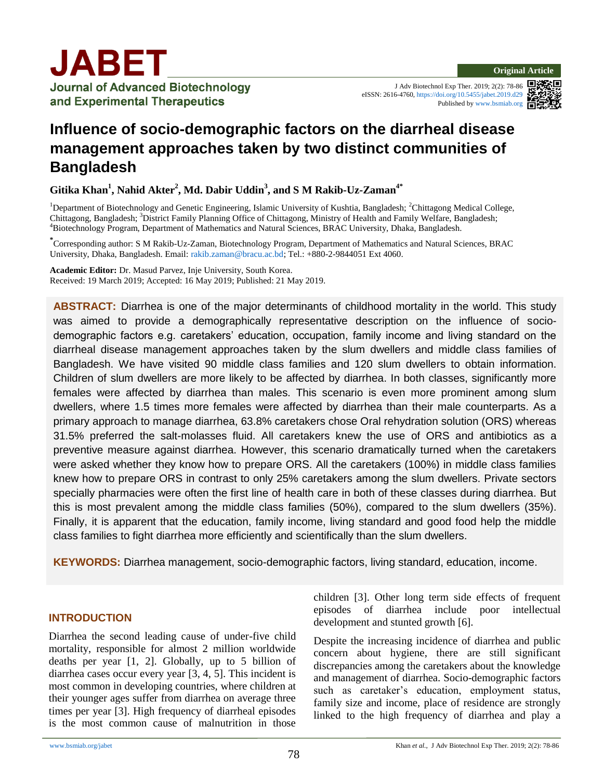J Adv Biotechnol Exp Ther. 2019; 2(2): 78-86 eISSN: 2616-4760[, https://doi.org/10.5455/jabet.2019.d29](https://doi.org/10.5455/jabet.2019.d29) Published b[y www.bsmiab.org](http://www.bsmiab.org/)



# **Influence of socio-demographic factors on the diarrheal disease management approaches taken by two distinct communities of Bangladesh**

**Gitika Khan<sup>1</sup> , Nahid Akter<sup>2</sup> , Md. Dabir Uddin<sup>3</sup> , and S M Rakib-Uz-Zaman4\***

<sup>1</sup>Department of Biotechnology and Genetic Engineering, Islamic University of Kushtia, Bangladesh; <sup>2</sup>Chittagong Medical College, Chittagong, Bangladesh; <sup>3</sup>District Family Planning Office of Chittagong, Ministry of Health and Family Welfare, Bangladesh; <sup>4</sup>Biotechnology Program, Department of Mathematics and Natural Sciences, BRAC University, Dhaka, Bangladesh.

**\*** Corresponding author: S M Rakib-Uz-Zaman, Biotechnology Program, Department of Mathematics and Natural Sciences, BRAC University, Dhaka, Bangladesh. Email: [rakib.zaman@bracu.ac.bd;](mailto:rakib.zaman@bracu.ac.bd) Tel.: +880-2-9844051 Ext 4060.

**Academic Editor:** Dr. Masud Parvez, Inje University, South Korea. Received: 19 March 2019; Accepted: 16 May 2019; Published: 21 May 2019.

**ABSTRACT:** Diarrhea is one of the major determinants of childhood mortality in the world. This study was aimed to provide a demographically representative description on the influence of sociodemographic factors e.g. caretakers' education, occupation, family income and living standard on the diarrheal disease management approaches taken by the slum dwellers and middle class families of Bangladesh. We have visited 90 middle class families and 120 slum dwellers to obtain information. Children of slum dwellers are more likely to be affected by diarrhea. In both classes, significantly more females were affected by diarrhea than males. This scenario is even more prominent among slum dwellers, where 1.5 times more females were affected by diarrhea than their male counterparts. As a primary approach to manage diarrhea, 63.8% caretakers chose Oral rehydration solution (ORS) whereas 31.5% preferred the salt-molasses fluid. All caretakers knew the use of ORS and antibiotics as a preventive measure against diarrhea. However, this scenario dramatically turned when the caretakers were asked whether they know how to prepare ORS. All the caretakers (100%) in middle class families knew how to prepare ORS in contrast to only 25% caretakers among the slum dwellers. Private sectors specially pharmacies were often the first line of health care in both of these classes during diarrhea. But this is most prevalent among the middle class families (50%), compared to the slum dwellers (35%). Finally, it is apparent that the education, family income, living standard and good food help the middle class families to fight diarrhea more efficiently and scientifically than the slum dwellers.

**KEYWORDS:** Diarrhea management, socio-demographic factors, living standard, education, income.

# **INTRODUCTION**

Diarrhea the second leading cause of under-five child mortality, responsible for almost 2 million worldwide deaths per year [1, 2]. Globally, up to 5 billion of diarrhea cases occur every year [3, 4, 5]. This incident is most common in developing countries, where children at their younger ages suffer from diarrhea on average three times per year [3]. High frequency of diarrheal episodes is the most common cause of malnutrition in those

children [3]. Other long term side effects of frequent episodes of diarrhea include poor intellectual development and stunted growth [6].

Despite the increasing incidence of diarrhea and public concern about hygiene, there are still significant discrepancies among the caretakers about the knowledge and management of diarrhea. Socio-demographic factors such as caretaker's education, employment status, family size and income, place of residence are strongly linked to the high frequency of diarrhea and play a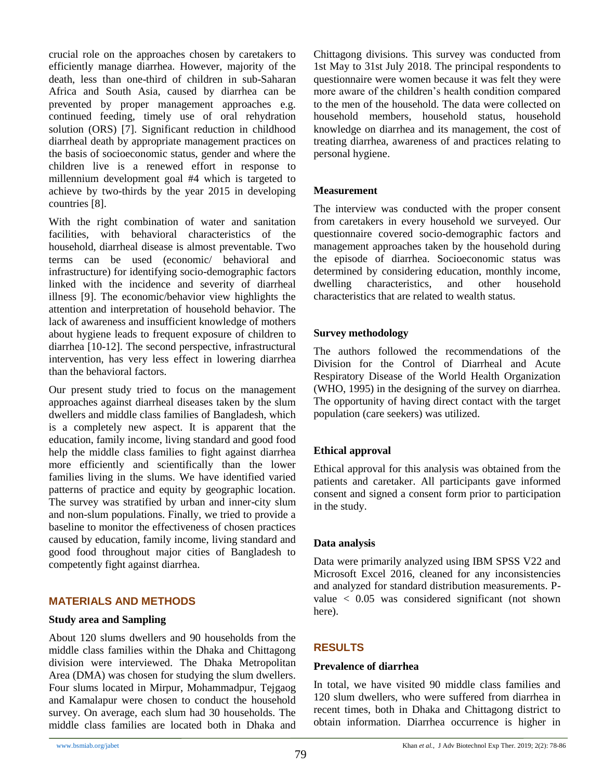crucial role on the approaches chosen by caretakers to efficiently manage diarrhea. However, majority of the death, less than one-third of children in sub-Saharan Africa and South Asia, caused by diarrhea can be prevented by proper management approaches e.g. continued feeding, timely use of oral rehydration solution (ORS) [7]. Significant reduction in childhood diarrheal death by appropriate management practices on the basis of socioeconomic status, gender and where the children live is a renewed effort in response to millennium development goal #4 which is targeted to achieve by two-thirds by the year 2015 in developing countries [8].

With the right combination of water and sanitation facilities, with behavioral characteristics of the household, diarrheal disease is almost preventable. Two terms can be used (economic/ behavioral and infrastructure) for identifying socio-demographic factors linked with the incidence and severity of diarrheal illness [9]. The economic/behavior view highlights the attention and interpretation of household behavior. The lack of awareness and insufficient knowledge of mothers about hygiene leads to frequent exposure of children to diarrhea [10-12]. The second perspective, infrastructural intervention, has very less effect in lowering diarrhea than the behavioral factors.

Our present study tried to focus on the management approaches against diarrheal diseases taken by the slum dwellers and middle class families of Bangladesh, which is a completely new aspect. It is apparent that the education, family income, living standard and good food help the middle class families to fight against diarrhea more efficiently and scientifically than the lower families living in the slums. We have identified varied patterns of practice and equity by geographic location. The survey was stratified by urban and inner-city slum and non-slum populations. Finally, we tried to provide a baseline to monitor the effectiveness of chosen practices caused by education, family income, living standard and good food throughout major cities of Bangladesh to competently fight against diarrhea.

# **MATERIALS AND METHODS**

## **Study area and Sampling**

About 120 slums dwellers and 90 households from the middle class families within the Dhaka and Chittagong division were interviewed. The Dhaka Metropolitan Area (DMA) was chosen for studying the slum dwellers. Four slums located in Mirpur, Mohammadpur, Tejgaog and Kamalapur were chosen to conduct the household survey. On average, each slum had 30 households. The middle class families are located both in Dhaka and Chittagong divisions. This survey was conducted from 1st May to 31st July 2018. The principal respondents to questionnaire were women because it was felt they were more aware of the children's health condition compared to the men of the household. The data were collected on household members, household status, household knowledge on diarrhea and its management, the cost of treating diarrhea, awareness of and practices relating to personal hygiene.

## **Measurement**

The interview was conducted with the proper consent from caretakers in every household we surveyed. Our questionnaire covered socio-demographic factors and management approaches taken by the household during the episode of diarrhea. Socioeconomic status was determined by considering education, monthly income, dwelling characteristics, and other household characteristics that are related to wealth status.

## **Survey methodology**

The authors followed the recommendations of the Division for the Control of Diarrheal and Acute Respiratory Disease of the World Health Organization (WHO, 1995) in the designing of the survey on diarrhea. The opportunity of having direct contact with the target population (care seekers) was utilized.

# **Ethical approval**

Ethical approval for this analysis was obtained from the patients and caretaker. All participants gave informed consent and signed a consent form prior to participation in the study.

#### **Data analysis**

Data were primarily analyzed using IBM SPSS V22 and Microsoft Excel 2016, cleaned for any inconsistencies and analyzed for standard distribution measurements. Pvalue < 0.05 was considered significant (not shown here).

# **RESULTS**

# **Prevalence of diarrhea**

In total, we have visited 90 middle class families and 120 slum dwellers, who were suffered from diarrhea in recent times, both in Dhaka and Chittagong district to obtain information. Diarrhea occurrence is higher in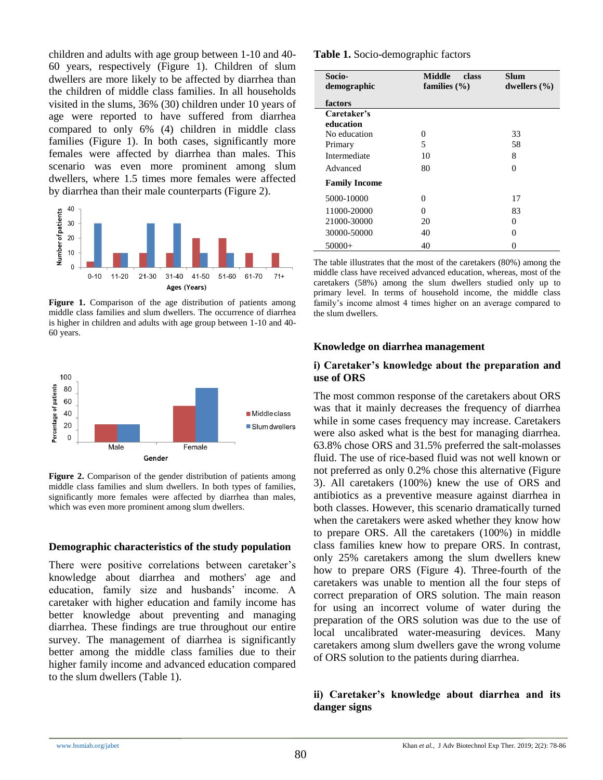children and adults with age group between 1-10 and 40- 60 years, respectively (Figure 1). Children of slum dwellers are more likely to be affected by diarrhea than the children of middle class families. In all households visited in the slums, 36% (30) children under 10 years of age were reported to have suffered from diarrhea compared to only 6% (4) children in middle class families (Figure 1). In both cases, significantly more females were affected by diarrhea than males. This scenario was even more prominent among slum dwellers, where 1.5 times more females were affected by diarrhea than their male counterparts (Figure 2).



**Figure 1.** Comparison of the age distribution of patients among middle class families and slum dwellers. The occurrence of diarrhea is higher in children and adults with age group between 1-10 and 40- 60 years.



**Figure 2.** Comparison of the gender distribution of patients among middle class families and slum dwellers. In both types of families, significantly more females were affected by diarrhea than males, which was even more prominent among slum dwellers.

## **Demographic characteristics of the study population**

There were positive correlations between caretaker's knowledge about diarrhea and mothers' age and education, family size and husbands' income. A caretaker with higher education and family income has better knowledge about preventing and managing diarrhea. These findings are true throughout our entire survey. The management of diarrhea is significantly better among the middle class families due to their higher family income and advanced education compared to the slum dwellers (Table 1).

#### **Table 1.** Socio-demographic factors

| Socio-<br>demographic    | <b>Middle</b><br>class<br>families $(\% )$ | Slum<br>dwellers $(\% )$ |
|--------------------------|--------------------------------------------|--------------------------|
| factors                  |                                            |                          |
| Caretaker's<br>education |                                            |                          |
| No education             | 0                                          | 33                       |
| Primary                  | 5                                          | 58                       |
| Intermediate             | 10                                         | 8                        |
| Advanced                 | 80                                         | 0                        |
| <b>Family Income</b>     |                                            |                          |
| 5000-10000               | 0                                          | 17                       |
| 11000-20000              | 0                                          | 83                       |
| 21000-30000              | 20                                         | 0                        |
| 30000-50000              | 40                                         | 0                        |
| $50000+$                 | 40                                         | 0                        |

The table illustrates that the most of the caretakers (80%) among the middle class have received advanced education, whereas, most of the caretakers (58%) among the slum dwellers studied only up to primary level. In terms of household income, the middle class family's income almost 4 times higher on an average compared to the slum dwellers.

#### **Knowledge on diarrhea management**

#### **i) Caretaker's knowledge about the preparation and use of ORS**

The most common response of the caretakers about ORS was that it mainly decreases the frequency of diarrhea while in some cases frequency may increase. Caretakers were also asked what is the best for managing diarrhea. 63.8% chose ORS and 31.5% preferred the salt-molasses fluid. The use of rice-based fluid was not well known or not preferred as only 0.2% chose this alternative (Figure 3). All caretakers (100%) knew the use of ORS and antibiotics as a preventive measure against diarrhea in both classes. However, this scenario dramatically turned when the caretakers were asked whether they know how to prepare ORS. All the caretakers (100%) in middle class families knew how to prepare ORS. In contrast, only 25% caretakers among the slum dwellers knew how to prepare ORS (Figure 4). Three-fourth of the caretakers was unable to mention all the four steps of correct preparation of ORS solution. The main reason for using an incorrect volume of water during the preparation of the ORS solution was due to the use of local uncalibrated water-measuring devices. Many caretakers among slum dwellers gave the wrong volume of ORS solution to the patients during diarrhea.

## **ii) Caretaker's knowledge about diarrhea and its danger signs**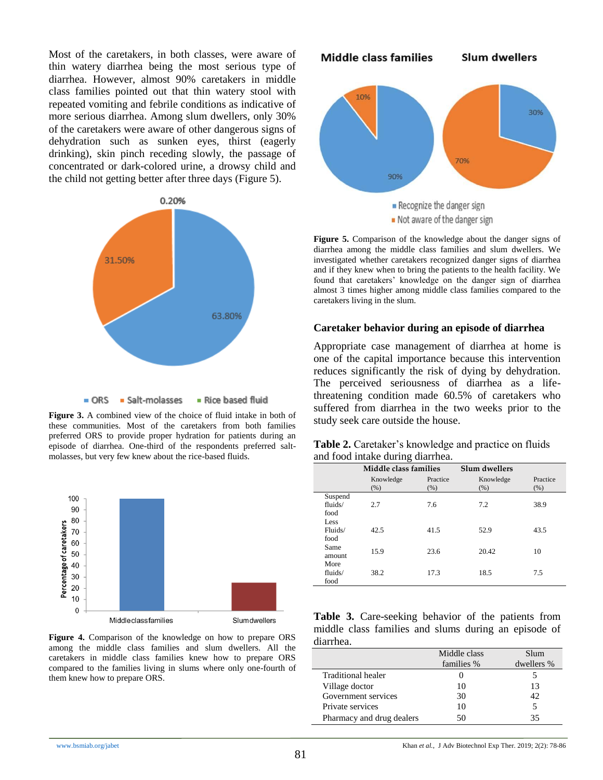Most of the caretakers, in both classes, were aware of thin watery diarrhea being the most serious type of diarrhea. However, almost 90% caretakers in middle class families pointed out that thin watery stool with repeated vomiting and febrile conditions as indicative of more serious diarrhea. Among slum dwellers, only 30% of the caretakers were aware of other dangerous signs of dehydration such as sunken eyes, thirst (eagerly drinking), skin pinch receding slowly, the passage of concentrated or dark-colored urine, a drowsy child and the child not getting better after three days (Figure 5).



**Figure 3.** A combined view of the choice of fluid intake in both of these communities. Most of the caretakers from both families preferred ORS to provide proper hydration for patients during an episode of diarrhea. One-third of the respondents preferred saltmolasses, but very few knew about the rice-based fluids.



**Figure 4.** Comparison of the knowledge on how to prepare ORS among the middle class families and slum dwellers. All the caretakers in middle class families knew how to prepare ORS compared to the families living in slums where only one-fourth of them knew how to prepare ORS.



**Figure 5.** Comparison of the knowledge about the danger signs of diarrhea among the middle class families and slum dwellers. We investigated whether caretakers recognized danger signs of diarrhea and if they knew when to bring the patients to the health facility. We found that caretakers' knowledge on the danger sign of diarrhea almost 3 times higher among middle class families compared to the caretakers living in the slum.

#### **Caretaker behavior during an episode of diarrhea**

Appropriate case management of diarrhea at home is one of the capital importance because this intervention reduces significantly the risk of dying by dehydration. The perceived seriousness of diarrhea as a lifethreatening condition made 60.5% of caretakers who suffered from diarrhea in the two weeks prior to the study seek care outside the house.

| <b>Table 2.</b> Caretaker's knowledge and practice on fluids |  |
|--------------------------------------------------------------|--|
| and food intake during diarrhea.                             |  |

|                            | Middle class families |                  | Slum dwellers     |                  |
|----------------------------|-----------------------|------------------|-------------------|------------------|
|                            | Knowledge<br>(% )     | Practice<br>(% ) | Knowledge<br>(% ) | Practice<br>(% ) |
| Suspend<br>fluids/<br>food | 2.7                   | 7.6              | 7.2               | 38.9             |
| Less<br>Fluids/<br>food    | 42.5                  | 41.5             | 52.9              | 43.5             |
| Same<br>amount<br>More     | 15.9                  | 23.6             | 20.42             | 10               |
| fluids/<br>food            | 38.2                  | 17.3             | 18.5              | 7.5              |

**Table 3.** Care-seeking behavior of the patients from middle class families and slums during an episode of diarrhea.

|                           | Middle class | Slum       |
|---------------------------|--------------|------------|
|                           | families %   | dwellers % |
| Traditional healer        |              |            |
| Village doctor            | 10           | 13         |
| Government services       | 30           | 42         |
| Private services          | 10           | 5          |
| Pharmacy and drug dealers | 50           | 35         |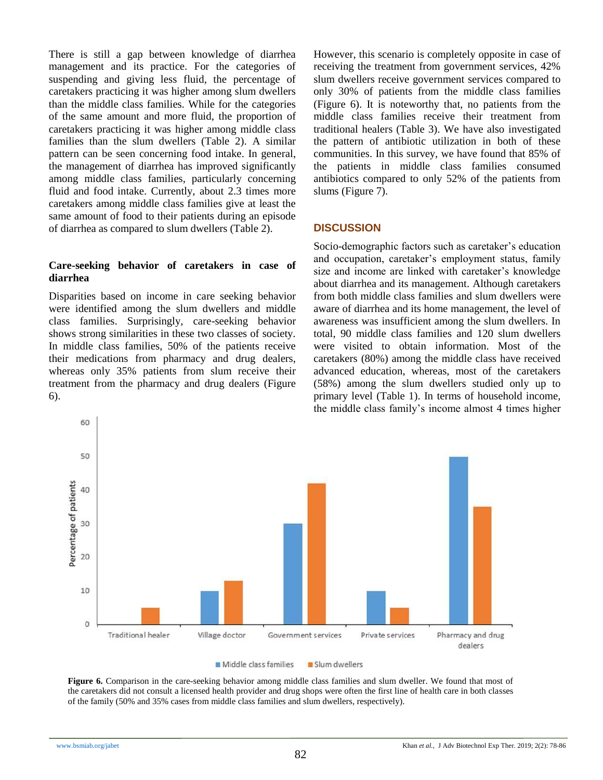There is still a gap between knowledge of diarrhea management and its practice. For the categories of suspending and giving less fluid, the percentage of caretakers practicing it was higher among slum dwellers than the middle class families. While for the categories of the same amount and more fluid, the proportion of caretakers practicing it was higher among middle class families than the slum dwellers (Table 2). A similar pattern can be seen concerning food intake. In general, the management of diarrhea has improved significantly among middle class families, particularly concerning fluid and food intake. Currently, about 2.3 times more caretakers among middle class families give at least the same amount of food to their patients during an episode of diarrhea as compared to slum dwellers (Table 2).

## **Care-seeking behavior of caretakers in case of diarrhea**

Disparities based on income in care seeking behavior were identified among the slum dwellers and middle class families. Surprisingly, care-seeking behavior shows strong similarities in these two classes of society. In middle class families, 50% of the patients receive their medications from pharmacy and drug dealers, whereas only 35% patients from slum receive their treatment from the pharmacy and drug dealers (Figure 6).

However, this scenario is completely opposite in case of receiving the treatment from government services, 42% slum dwellers receive government services compared to only 30% of patients from the middle class families (Figure 6). It is noteworthy that, no patients from the middle class families receive their treatment from traditional healers (Table 3). We have also investigated the pattern of antibiotic utilization in both of these communities. In this survey, we have found that 85% of the patients in middle class families consumed antibiotics compared to only 52% of the patients from slums (Figure 7).

# **DISCUSSION**

Socio-demographic factors such as caretaker's education and occupation, caretaker's employment status, family size and income are linked with caretaker's knowledge about diarrhea and its management. Although caretakers from both middle class families and slum dwellers were aware of diarrhea and its home management, the level of awareness was insufficient among the slum dwellers. In total, 90 middle class families and 120 slum dwellers were visited to obtain information. Most of the caretakers (80%) among the middle class have received advanced education, whereas, most of the caretakers (58%) among the slum dwellers studied only up to primary level (Table 1). In terms of household income, the middle class family's income almost 4 times higher



Figure 6. Comparison in the care-seeking behavior among middle class families and slum dweller. We found that most of the caretakers did not consult a licensed health provider and drug shops were often the first line of health care in both classes of the family (50% and 35% cases from middle class families and slum dwellers, respectively).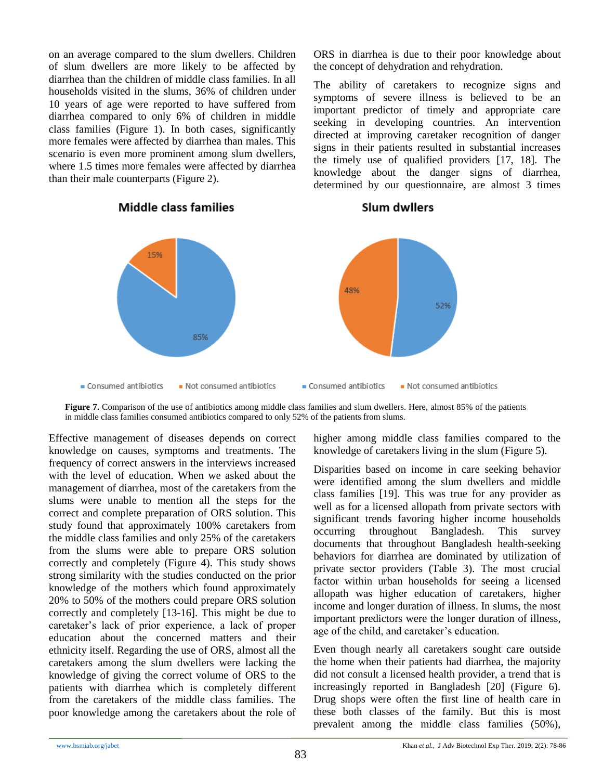on an average compared to the slum dwellers. Children of slum dwellers are more likely to be affected by diarrhea than the children of middle class families. In all households visited in the slums, 36% of children under 10 years of age were reported to have suffered from diarrhea compared to only 6% of children in middle class families (Figure 1). In both cases, significantly more females were affected by diarrhea than males. This scenario is even more prominent among slum dwellers, where 1.5 times more females were affected by diarrhea than their male counterparts (Figure 2).



# **Middle class families**

ORS in diarrhea is due to their poor knowledge about the concept of dehydration and rehydration.

The ability of caretakers to recognize signs and symptoms of severe illness is believed to be an important predictor of timely and appropriate care seeking in developing countries. An intervention directed at improving caretaker recognition of danger signs in their patients resulted in substantial increases the timely use of qualified providers [17, 18]. The knowledge about the danger signs of diarrhea, determined by our questionnaire, are almost 3 times

**Slum dwilers** 

**Figure 7.** Comparison of the use of antibiotics among middle class families and slum dwellers. Here, almost 85% of the patients in middle class families consumed antibiotics compared to only 52% of the patients from slums.

Effective management of diseases depends on correct knowledge on causes, symptoms and treatments. The frequency of correct answers in the interviews increased with the level of education. When we asked about the management of diarrhea, most of the caretakers from the slums were unable to mention all the steps for the correct and complete preparation of ORS solution. This study found that approximately 100% caretakers from the middle class families and only 25% of the caretakers from the slums were able to prepare ORS solution correctly and completely (Figure 4). This study shows strong similarity with the studies conducted on the prior knowledge of the mothers which found approximately 20% to 50% of the mothers could prepare ORS solution correctly and completely [13-16]. This might be due to caretaker's lack of prior experience, a lack of proper education about the concerned matters and their ethnicity itself. Regarding the use of ORS, almost all the caretakers among the slum dwellers were lacking the knowledge of giving the correct volume of ORS to the patients with diarrhea which is completely different from the caretakers of the middle class families. The poor knowledge among the caretakers about the role of higher among middle class families compared to the knowledge of caretakers living in the slum (Figure 5).

Disparities based on income in care seeking behavior were identified among the slum dwellers and middle class families [19]. This was true for any provider as well as for a licensed allopath from private sectors with significant trends favoring higher income households occurring throughout Bangladesh. This survey documents that throughout Bangladesh health-seeking behaviors for diarrhea are dominated by utilization of private sector providers (Table 3). The most crucial factor within urban households for seeing a licensed allopath was higher education of caretakers, higher income and longer duration of illness. In slums, the most important predictors were the longer duration of illness, age of the child, and caretaker's education.

Even though nearly all caretakers sought care outside the home when their patients had diarrhea, the majority did not consult a licensed health provider, a trend that is increasingly reported in Bangladesh [20] (Figure 6). Drug shops were often the first line of health care in these both classes of the family. But this is most prevalent among the middle class families (50%),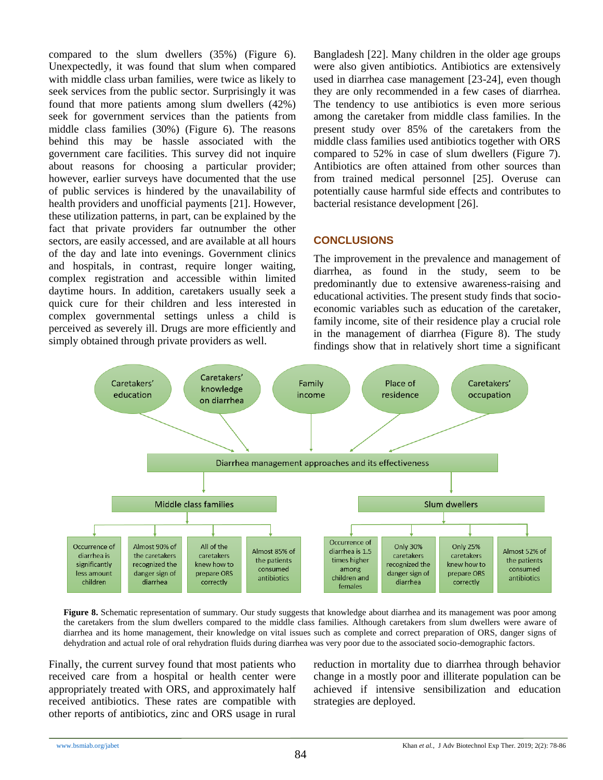compared to the slum dwellers (35%) (Figure 6). Unexpectedly, it was found that slum when compared with middle class urban families, were twice as likely to seek services from the public sector. Surprisingly it was found that more patients among slum dwellers (42%) seek for government services than the patients from middle class families (30%) (Figure 6). The reasons behind this may be hassle associated with the government care facilities. This survey did not inquire about reasons for choosing a particular provider; however, earlier surveys have documented that the use of public services is hindered by the unavailability of health providers and unofficial payments [21]. However, these utilization patterns, in part, can be explained by the fact that private providers far outnumber the other sectors, are easily accessed, and are available at all hours of the day and late into evenings. Government clinics and hospitals, in contrast, require longer waiting, complex registration and accessible within limited daytime hours. In addition, caretakers usually seek a quick cure for their children and less interested in complex governmental settings unless a child is perceived as severely ill. Drugs are more efficiently and simply obtained through private providers as well.

Bangladesh [22]. Many children in the older age groups were also given antibiotics. Antibiotics are extensively used in diarrhea case management [23-24], even though they are only recommended in a few cases of diarrhea. The tendency to use antibiotics is even more serious among the caretaker from middle class families. In the present study over 85% of the caretakers from the middle class families used antibiotics together with ORS compared to 52% in case of slum dwellers (Figure 7). Antibiotics are often attained from other sources than from trained medical personnel [25]. Overuse can potentially cause harmful side effects and contributes to bacterial resistance development [26].

## **CONCLUSIONS**

The improvement in the prevalence and management of diarrhea, as found in the study, seem to be predominantly due to extensive awareness-raising and educational activities. The present study finds that socioeconomic variables such as education of the caretaker, family income, site of their residence play a crucial role in the management of diarrhea (Figure 8). The study findings show that in relatively short time a significant



Figure 8. Schematic representation of summary. Our study suggests that knowledge about diarrhea and its management was poor among the caretakers from the slum dwellers compared to the middle class families. Although caretakers from slum dwellers were aware of diarrhea and its home management, their knowledge on vital issues such as complete and correct preparation of ORS, danger signs of dehydration and actual role of oral rehydration fluids during diarrhea was very poor due to the associated socio-demographic factors.

Finally, the current survey found that most patients who received care from a hospital or health center were appropriately treated with ORS, and approximately half received antibiotics. These rates are compatible with other reports of antibiotics, zinc and ORS usage in rural reduction in mortality due to diarrhea through behavior change in a mostly poor and illiterate population can be achieved if intensive sensibilization and education strategies are deployed.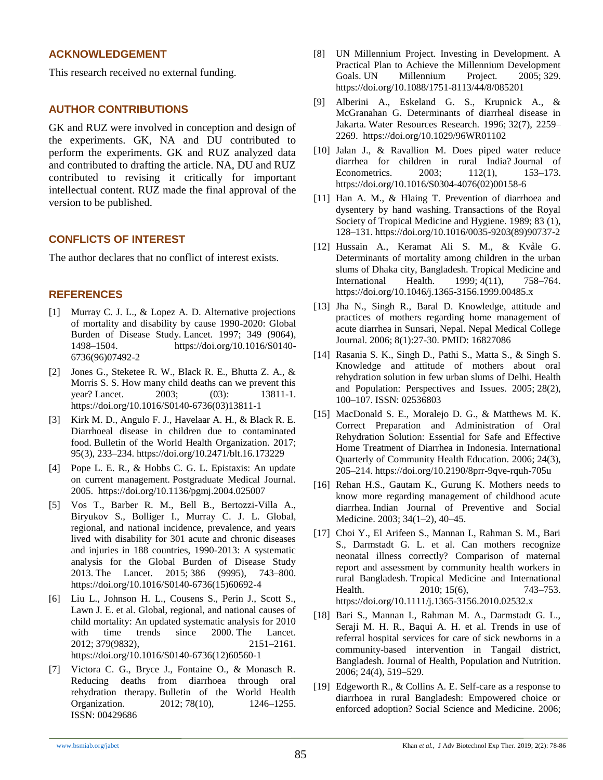## **ACKNOWLEDGEMENT**

This research received no external funding.

# **AUTHOR CONTRIBUTIONS**

GK and RUZ were involved in conception and design of the experiments. GK, NA and DU contributed to perform the experiments. GK and RUZ analyzed data and contributed to drafting the article. NA, DU and RUZ contributed to revising it critically for important intellectual content. RUZ made the final approval of the version to be published.

# **CONFLICTS OF INTEREST**

The author declares that no conflict of interest exists.

# **REFERENCES**

- [1] Murray C. J. L., & Lopez A. D. Alternative projections of mortality and disability by cause 1990-2020: Global Burden of Disease Study. Lancet. 1997; 349 (9064), 1498–1504. https://doi.org/10.1016/S0140- 6736(96)07492-2
- [2] Jones G., Steketee R. W., Black R. E., Bhutta Z. A., & Morris S. S. How many child deaths can we prevent this year? Lancet. 2003; (03): 13811-1. https://doi.org/10.1016/S0140-6736(03)13811-1
- [3] Kirk M. D., Angulo F. J., Havelaar A. H., & Black R. E. Diarrhoeal disease in children due to contaminated food. Bulletin of the World Health Organization. 2017; 95(3), 233–234. https://doi.org/10.2471/blt.16.173229
- [4] Pope L. E. R., & Hobbs C. G. L. Epistaxis: An update on current management. Postgraduate Medical Journal. 2005. https://doi.org/10.1136/pgmj.2004.025007
- [5] Vos T., Barber R. M., Bell B., Bertozzi-Villa A., Biryukov S., Bolliger I., Murray C. J. L. Global, regional, and national incidence, prevalence, and years lived with disability for 301 acute and chronic diseases and injuries in 188 countries, 1990-2013: A systematic analysis for the Global Burden of Disease Study 2013. The Lancet. 2015; 386 (9995), 743–800. https://doi.org/10.1016/S0140-6736(15)60692-4
- [6] Liu L., Johnson H. L., Cousens S., Perin J., Scott S., Lawn J. E. et al. Global, regional, and national causes of child mortality: An updated systematic analysis for 2010 with time trends since 2000. The Lancet. 2012; 379(9832), 2151–2161. https://doi.org/10.1016/S0140-6736(12)60560-1
- [7] Victora C. G., Bryce J., Fontaine O., & Monasch R. Reducing deaths from diarrhoea through oral rehydration therapy. Bulletin of the World Health Organization. 2012; 78(10), 1246-1255. ISSN: 00429686
- [8] UN Millennium Project. Investing in Development. A Practical Plan to Achieve the Millennium Development Goals. UN Millennium Project. 2005; 329. https://doi.org/10.1088/1751-8113/44/8/085201
- [9] Alberini A., Eskeland G. S., Krupnick A., & McGranahan G. Determinants of diarrheal disease in Jakarta. Water Resources Research. 1996; 32(7), 2259– 2269. https://doi.org/10.1029/96WR01102
- [10] Jalan J., & Ravallion M. Does piped water reduce diarrhea for children in rural India? Journal of Econometrics. 2003; 112(1), 153–173. https://doi.org/10.1016/S0304-4076(02)00158-6
- [11] Han A. M., & Hlaing T. Prevention of diarrhoea and dysentery by hand washing. Transactions of the Royal Society of Tropical Medicine and Hygiene. 1989; 83 (1), 128–131. https://doi.org/10.1016/0035-9203(89)90737-2
- [12] Hussain A., Keramat Ali S. M., & Kvåle G. Determinants of mortality among children in the urban slums of Dhaka city, Bangladesh. Tropical Medicine and International Health. 1999; 4(11), 758–764. https://doi.org/10.1046/j.1365-3156.1999.00485.x
- [13] Jha N., Singh R., Baral D. Knowledge, attitude and practices of mothers regarding home management of acute diarrhea in Sunsari, Nepal. Nepal Medical College Journal. 2006; 8(1):27-30. PMID: 16827086
- [14] Rasania S. K., Singh D., Pathi S., Matta S., & Singh S. Knowledge and attitude of mothers about oral rehydration solution in few urban slums of Delhi. Health and Population: Perspectives and Issues. 2005; 28(2), 100–107. ISSN: 02536803
- [15] MacDonald S. E., Moralejo D. G., & Matthews M. K. Correct Preparation and Administration of Oral Rehydration Solution: Essential for Safe and Effective Home Treatment of Diarrhea in Indonesia. International Quarterly of Community Health Education. 2006; 24(3), 205–214. https://doi.org/10.2190/8prr-9qve-rquh-705u
- [16] Rehan H.S., Gautam K., Gurung K. Mothers needs to know more regarding management of childhood acute diarrhea. Indian Journal of Preventive and Social Medicine. 2003; 34(1–2), 40–45.
- [17] Choi Y., El Arifeen S., Mannan I., Rahman S. M., Bari S., Darmstadt G. L. et al. Can mothers recognize neonatal illness correctly? Comparison of maternal report and assessment by community health workers in rural Bangladesh. Tropical Medicine and International Health. 2010; 15(6), 743-753. https://doi.org/10.1111/j.1365-3156.2010.02532.x
- [18] Bari S., Mannan I., Rahman M. A., Darmstadt G. L., Seraji M. H. R., Baqui A. H. et al. Trends in use of referral hospital services for care of sick newborns in a community-based intervention in Tangail district, Bangladesh. Journal of Health, Population and Nutrition. 2006; 24(4), 519–529.
- [19] Edgeworth R., & Collins A. E. Self-care as a response to diarrhoea in rural Bangladesh: Empowered choice or enforced adoption? Social Science and Medicine. 2006;